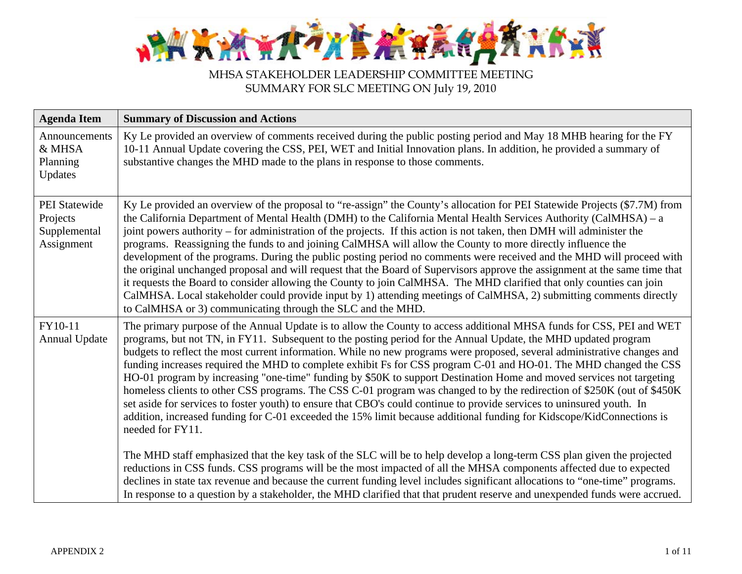

| <b>Agenda Item</b>                                             | <b>Summary of Discussion and Actions</b>                                                                                                                                                                                                                                                                                                                                                                                                                                                                                                                                                                                                                                                                                                                                                                                                                                                                                                                                                                                                                                                                                                                                                                                                                                                                                                                                                                                                                                                                                         |
|----------------------------------------------------------------|----------------------------------------------------------------------------------------------------------------------------------------------------------------------------------------------------------------------------------------------------------------------------------------------------------------------------------------------------------------------------------------------------------------------------------------------------------------------------------------------------------------------------------------------------------------------------------------------------------------------------------------------------------------------------------------------------------------------------------------------------------------------------------------------------------------------------------------------------------------------------------------------------------------------------------------------------------------------------------------------------------------------------------------------------------------------------------------------------------------------------------------------------------------------------------------------------------------------------------------------------------------------------------------------------------------------------------------------------------------------------------------------------------------------------------------------------------------------------------------------------------------------------------|
| Announcements<br>& MHSA<br>Planning<br>Updates                 | Ky Le provided an overview of comments received during the public posting period and May 18 MHB hearing for the FY<br>10-11 Annual Update covering the CSS, PEI, WET and Initial Innovation plans. In addition, he provided a summary of<br>substantive changes the MHD made to the plans in response to those comments.                                                                                                                                                                                                                                                                                                                                                                                                                                                                                                                                                                                                                                                                                                                                                                                                                                                                                                                                                                                                                                                                                                                                                                                                         |
| <b>PEI</b> Statewide<br>Projects<br>Supplemental<br>Assignment | Ky Le provided an overview of the proposal to "re-assign" the County's allocation for PEI Statewide Projects (\$7.7M) from<br>the California Department of Mental Health (DMH) to the California Mental Health Services Authority (CalMHSA) – a<br>joint powers authority – for administration of the projects. If this action is not taken, then DMH will administer the<br>programs. Reassigning the funds to and joining CalMHSA will allow the County to more directly influence the<br>development of the programs. During the public posting period no comments were received and the MHD will proceed with<br>the original unchanged proposal and will request that the Board of Supervisors approve the assignment at the same time that<br>it requests the Board to consider allowing the County to join CalMHSA. The MHD clarified that only counties can join<br>CalMHSA. Local stakeholder could provide input by 1) attending meetings of CalMHSA, 2) submitting comments directly<br>to CalMHSA or 3) communicating through the SLC and the MHD.                                                                                                                                                                                                                                                                                                                                                                                                                                                                   |
| FY10-11<br><b>Annual Update</b>                                | The primary purpose of the Annual Update is to allow the County to access additional MHSA funds for CSS, PEI and WET<br>programs, but not TN, in FY11. Subsequent to the posting period for the Annual Update, the MHD updated program<br>budgets to reflect the most current information. While no new programs were proposed, several administrative changes and<br>funding increases required the MHD to complete exhibit Fs for CSS program C-01 and HO-01. The MHD changed the CSS<br>HO-01 program by increasing "one-time" funding by \$50K to support Destination Home and moved services not targeting<br>homeless clients to other CSS programs. The CSS C-01 program was changed to by the redirection of \$250K (out of \$450K<br>set aside for services to foster youth) to ensure that CBO's could continue to provide services to uninsured youth. In<br>addition, increased funding for C-01 exceeded the 15% limit because additional funding for Kidscope/KidConnections is<br>needed for FY11.<br>The MHD staff emphasized that the key task of the SLC will be to help develop a long-term CSS plan given the projected<br>reductions in CSS funds. CSS programs will be the most impacted of all the MHSA components affected due to expected<br>declines in state tax revenue and because the current funding level includes significant allocations to "one-time" programs.<br>In response to a question by a stakeholder, the MHD clarified that that prudent reserve and unexpended funds were accrued. |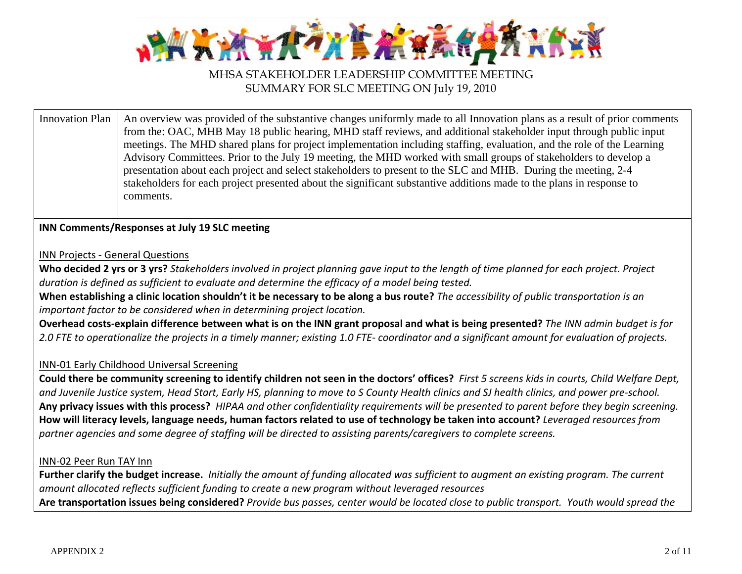

Innovation Plan  $\parallel$  An overview was provided of the substantive changes uniformly made to all Innovation plans as a result of prior comments from the: OAC, MHB May 18 public hearing, MHD staff reviews, and additional stakeholder input through public input meetings. The MHD shared plans for project implementation including staffing, evaluation, and the role of the Learning Advisory Committees. Prior to the July 19 meeting, the MHD worked with small groups of stakeholders to develop a presentation about each project and select stakeholders to present to the SLC and MHB. During the meeting, 2-4 stakeholders for each project presented about the significant substantive additions made to the plans in response to comments.

### **INN Comments/Responses at July 19 SLC meeting**

#### INN Projects ‐ General Questions

**Who decided 2 yrs or 3 yrs?** Stakeholders involved in project planning gave input to the length of time planned for each project. Project *duration is defined as sufficient to evaluate and determine the efficacy of a model being tested.*

When establishing a clinic location shouldn't it be necessary to be along a bus route? *The accessibility of public transportation is an important factor to be considered when in determining project location.*

Overhead costs-explain difference between what is on the INN grant proposal and what is being presented? The INN admin budget is for 2.0 FTE to operationalize the projects in a timely manner; existing 1.0 FTE- coordinator and a significant amount for evaluation of projects.

### INN‐01 Early Childhood Universal Screening

Could there be community screening to identify children not seen in the doctors' offices? First 5 screens kids in courts, Child Welfare Dept, and Juvenile Justice system, Head Start, Early HS, planning to move to S County Health clinics and SJ health clinics, and power pre-school. Any privacy issues with this process? HIPAA and other confidentiality requirements will be presented to parent before they begin screening. How will literacy levels, language needs, human factors related to use of technology be taken into account? *Leveraged resources from* partner agencies and some degree of staffing will be directed to assisting parents/caregivers to complete screens.

### INN‐02 Peer Run TAY Inn

**Further clarify the budget increase.** Initially the amount of funding allocated was sufficient to augment an existing program. The current *amount allocated reflects sufficient funding to create a new program without leveraged resources* **Are transportation issues being considered?** Provide bus passes, center would be located close to public transport. Youth would spread the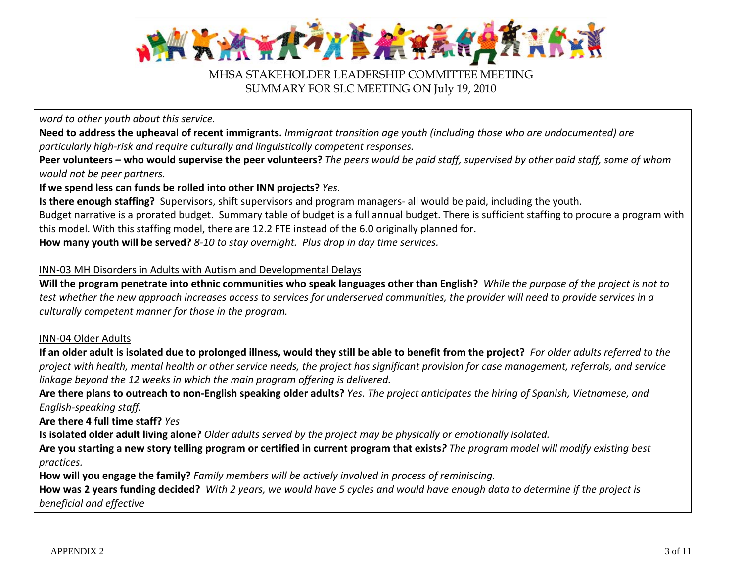

*word to other youth about this service.*

Need to address the upheaval of recent immigrants. Immigrant transition age youth (including those who are undocumented) are *particularly high‐risk and require culturally and linguistically competent responses.*

**Peer volunteers – who would supervise the peer volunteers?** The peers would be paid staff, supervised by other paid staff, some of whom *would not be peer partners.*

**If we spend less can funds be rolled into other INN projects?** *Yes.*

**Is there enough staffing?** Supervisors, shift supervisors and program managers‐ all would be paid, including the youth. Budget narrative is <sup>a</sup> prorated budget. Summary table of budget is <sup>a</sup> full annual budget. There is sufficient staffing to procure <sup>a</sup> program with this model. With this staffing model, there are 12.2 FTE instead of the 6.0 originally planned for. **How many youth will be served?** *8‐10 to stay overnight. Plus drop in day time services.*

INN‐03 MH Disorders in Adults with Autism and Developmental Delays

Will the program penetrate into ethnic communities who speak languages other than English? While the purpose of the project is not to test whether the new approach increases access to services for underserved communities, the provider will need to provide services in a *culturally competent manner for those in the program.*

### INN‐04 Older Adults

If an older adult is isolated due to prolonged illness, would they still be able to benefit from the project? For older adults referred to the project with health, mental health or other service needs, the project has significant provision for case management, referrals, and service *linkage beyond the 12 weeks in which the main program offering is delivered.*

Are there plans to outreach to non-English speaking older adults? Yes. The project anticipates the hiring of Spanish, Vietnamese, and *English‐speaking staff.*

**Are there 4 full time staff?** *Yes*

**Is isolated older adult living alone?** Older adults served by the project may be physically or emotionally isolated.

Are you starting a new story telling program or certified in current program that exists? The program model will modify existing best *practices.*

**How will you engage the family?** *Family members will be actively involved in process of reminiscing.*

**How was 2 years funding decided?** With 2 years, we would have 5 cycles and would have enough data to determine if the project is *beneficial and effective*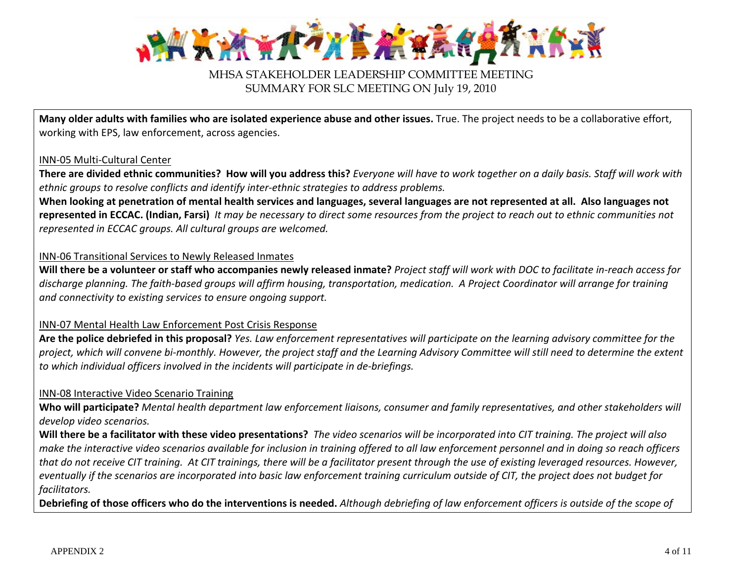

Many older adults with families who are isolated experience abuse and other issues. True. The project needs to be a collaborative effort, working with EPS, law enforcement, across agencies.

#### INN‐05 Multi‐Cultural Center

**There are divided ethnic communities? How will you address this?** Everyone will have to work together on a daily basis. Staff will work with *ethnic groups to resolve conflicts and identify inter‐ethnic strategies to address problems.*

When looking at penetration of mental health services and languages, several languages are not represented at all. Also languages not represented in ECCAC. (Indian, Farsi) It may be necessary to direct some resources from the project to reach out to ethnic communities not *represented in ECCAC groups. All cultural groups are welcomed.*

### INN‐06 Transitional Services to Newly Released Inmates

Will there be a volunteer or staff who accompanies newly released inmate? Project staff will work with DOC to facilitate in-reach access for discharge planning. The faith-based groups will affirm housing, transportation, medication. A Project Coordinator will arrange for training *and connectivity to existing services to ensure ongoing support.*

### INN‐07 Mental Health Law Enforcement Post Crisis Response

**Are the police debriefed in this proposal?** Yes. Law enforcement representatives will participate on the learning advisory committee for the project, which will convene bi-monthly. However, the project staff and the Learning Advisory Committee will still need to determine the extent *to which individual officers involved in the incidents will participate in de‐briefings.*

### INN‐08 Interactive Video Scenario Training

**Who will participate?** Mental health department law enforcement liaisons, consumer and family representatives, and other stakeholders will *develop video scenarios.*

Will there be a facilitator with these video presentations? The video scenarios will be incorporated into CIT training. The project will also make the interactive video scenarios available for inclusion in training offered to all law enforcement personnel and in doing so reach officers that do not receive CIT training. At CIT trainings, there will be a facilitator present through the use of existing leveraged resources. However, eventually if the scenarios are incorporated into basic law enforcement training curriculum outside of CIT, the project does not budget for *facilitators.*

Debriefing of those officers who do the interventions is needed. Although debriefing of law enforcement officers is outside of the scope of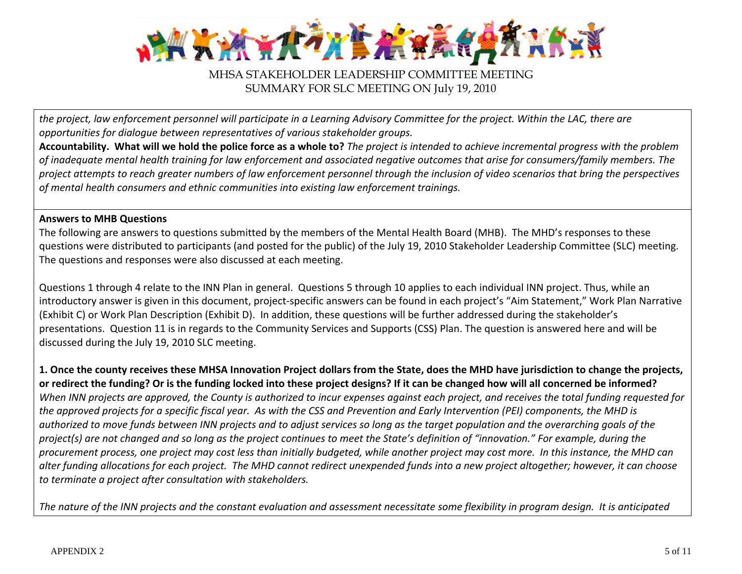

the project, law enforcement personnel will participate in a Learning Advisory Committee for the project. Within the LAC, there are *opportunities for dialogue between representatives of various stakeholder groups.*

**Accountability. What will we hold the police force as a whole to?** The project is intended to achieve incremental progress with the problem of inadequate mental health training for law enforcement and associated negative outcomes that arise for consumers/family members. The project attempts to reach greater numbers of law enforcement personnel through the inclusion of video scenarios that bring the perspectives *of mental health consumers and ethnic communities into existing law enforcement trainings.*

### **Answers to MHB Questions**

The following are answers to questions submitted by the members of the Mental Health Board (MHB). The MHD's responses to these questions were distributed to participants (and posted for the public) of the July 19, 2010 Stakeholder Leadership Committee (SLC) meeting. The questions and responses were also discussed at each meeting.

Questions 1 through 4 relate to the INN Plan in general. Questions 5 through 10 applies to each individual INN project. Thus, while an introductory answer is given in this document, project‐specific answers can be found in each project's "Aim Statement," Work Plan Narrative (Exhibit C) or Work Plan Description (Exhibit D). In addition, these questions will be further addressed during the stakeholder's presentations. Question 11 is in regards to the Community Services and Supports (CSS) Plan. The question is answered here and will be discussed during the July 19, 2010 SLC meeting.

1. Once the county receives these MHSA Innovation Project dollars from the State, does the MHD have jurisdiction to change the projects, or redirect the funding? Or is the funding locked into these project designs? If it can be changed how will all concerned be informed? When INN projects are approved, the County is authorized to incur expenses against each project, and receives the total funding requested for the approved projects for a specific fiscal year. As with the CSS and Prevention and Early Intervention (PEI) components, the MHD is authorized to move funds between INN projects and to adjust services so long as the target population and the overarching goals of the project(s) are not changed and so long as the project continues to meet the State's definition of "innovation." For example, during the procurement process, one project may cost less than initially budgeted, while another project may cost more. In this instance, the MHD can alter funding allocations for each project. The MHD cannot redirect unexpended funds into a new project altogether; however, it can choose *to terminate a project after consultation with stakeholders.*

The nature of the INN projects and the constant evaluation and assessment necessitate some flexibility in program design. It is anticipated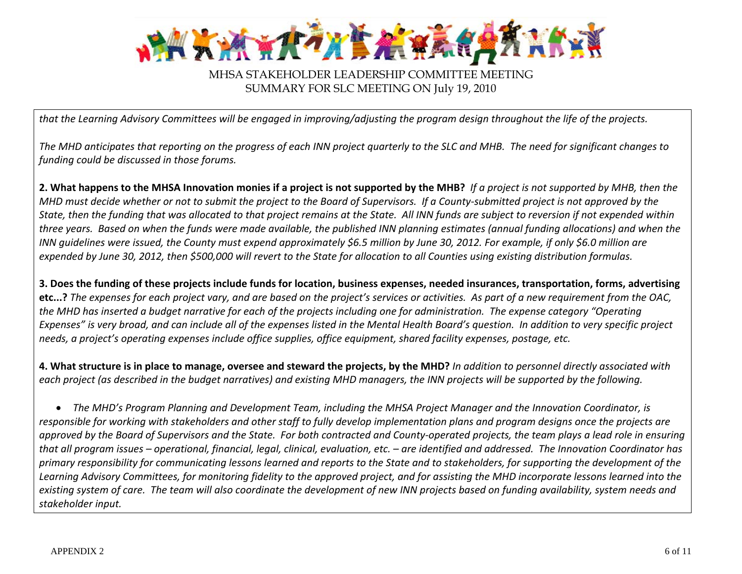

that the Learning Advisory Committees will be engaged in improving/adjusting the program design throughout the life of the projects.

The MHD anticipates that reporting on the progress of each INN project quarterly to the SLC and MHB. The need for significant changes to *funding could be discussed in those forums.*

2. What happens to the MHSA Innovation monies if a project is not supported by the MHB? If a project is not supported by MHB, then the MHD must decide whether or not to submit the project to the Board of Supervisors. If a County-submitted project is not approved by the State, then the funding that was allocated to that project remains at the State. All INN funds are subject to reversion if not expended within three years. Based on when the funds were made available, the published INN planning estimates (annual funding allocations) and when the INN guidelines were issued, the County must expend approximately \$6.5 million by June 30, 2012. For example, if only \$6.0 million are expended by June 30, 2012, then \$500,000 will revert to the State for allocation to all Counties using existing distribution formulas.

3. Does the funding of these projects include funds for location, business expenses, needed insurances, transportation, forms, advertising **etc…?** The expenses for each project vary, and are based on the project's services or activities. As part of a new requirement from the OAC, the MHD has inserted a budget narrative for each of the projects including one for administration. The expense category "Operating Expenses" is very broad, and can include all of the expenses listed in the Mental Health Board's question. In addition to very specific project needs, a project's operating expenses include office supplies, office equipment, shared facility expenses, postage, etc.

4. What structure is in place to manage, oversee and steward the projects, by the MHD? In addition to personnel directly associated with each project (as described in the budget narratives) and existing MHD managers, the INN projects will be supported by the following.

• The MHD's Program Planning and Development Team, including the MHSA Project Manager and the Innovation Coordinator, is responsible for working with stakeholders and other staff to fully develop implementation plans and program designs once the projects are approved by the Board of Supervisors and the State. For both contracted and County-operated projects, the team plays a lead role in ensuring that all program issues – operational, financial, legal, clinical, evaluation, etc. – are identified and addressed. The Innovation Coordinator has primary responsibility for communicating lessons learned and reports to the State and to stakeholders, for supporting the development of the Learning Advisory Committees, for monitoring fidelity to the approved project, and for assisting the MHD incorporate lessons learned into the existing system of care. The team will also coordinate the development of new INN projects based on funding availability, system needs and *stakeholder input.*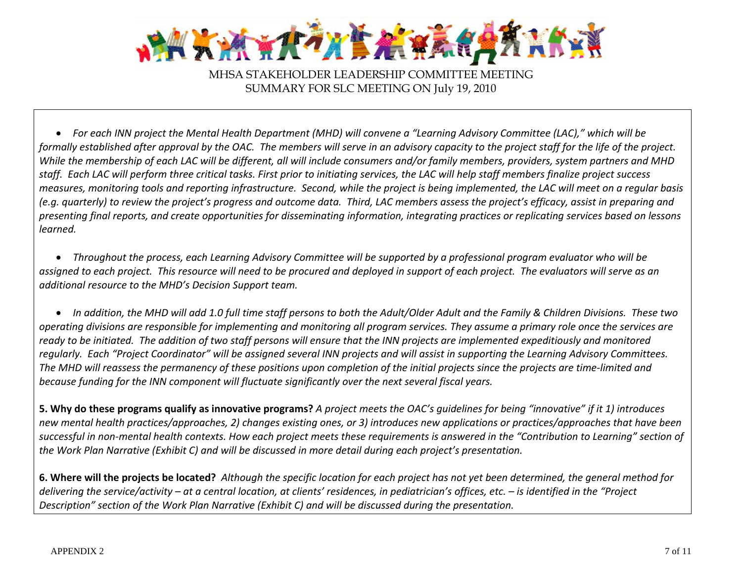

 $\bullet$  For each INN project the Mental Health Department (MHD) will convene a "Learning Advisory Committee (LAC)," which will be formally established after approval by the OAC. The members will serve in an advisory capacity to the project staff for the life of the project. While the membership of each LAC will be different, all will include consumers and/or family members, providers, system partners and MHD staff. Each LAC will perform three critical tasks. First prior to initiating services, the LAC will help staff members finalize project success measures, monitoring tools and reporting infrastructure. Second, while the project is being implemented, the LAC will meet on a regular basis (e.g. quarterly) to review the project's progress and outcome data. Third, LAC members assess the project's efficacy, assist in preparing and presenting final reports, and create opportunities for disseminating information, integrating practices or replicating services based on lessons *learned.*

 $\bullet$  Throughout the process, each Learning Advisory Committee will be supported by a professional program evaluator who will be assigned to each project. This resource will need to be procured and deployed in support of each project. The evaluators will serve as an *additional resource to the MHD's Decision Support team.*

• In addition, the MHD will add 1.0 full time staff persons to both the Adult/Older Adult and the Family & Children Divisions. These two operating divisions are responsible for implementing and monitoring all program services. They assume a primary role once the services are ready to be initiated. The addition of two staff persons will ensure that the INN projects are implemented expeditiously and monitored reqularly. Each "Project Coordinator" will be assigned several INN projects and will assist in supporting the Learning Advisory Committees. The MHD will reassess the permanency of these positions upon completion of the initial projects since the projects are time-limited and *because funding for the INN component will fluctuate significantly over the next several fiscal years.*

**5. Why do these programs qualify as innovative programs?** A project meets the OAC's guidelines for being "innovative" if it 1) introduces new mental health practices/approaches, 2) changes existing ones, or 3) introduces new applications or practices/approaches that have been successful in non-mental health contexts. How each project meets these requirements is answered in the "Contribution to Learning" section of the Work Plan Narrative (Exhibit C) and will be discussed in more detail during each project's presentation.

**6. Where will the projects be located?** Although the specific location for each project has not yet been determined, the general method for delivering the service/activity – at a central location, at clients' residences, in pediatrician's offices, etc. – is identified in the "Project *Description" section of the Work Plan Narrative (Exhibit C) and will be discussed during the presentation.*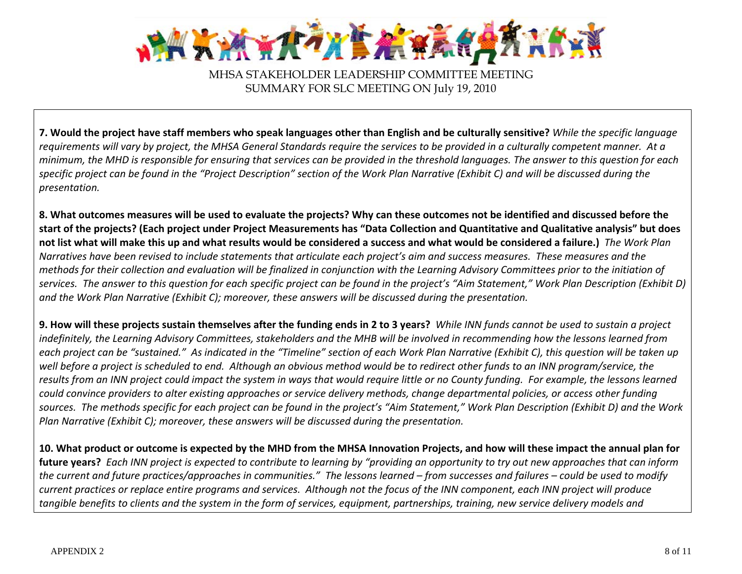

7. Would the project have staff members who speak languages other than English and be culturally sensitive? While the specific language requirements will vary by project, the MHSA General Standards require the services to be provided in a culturally competent manner. At a minimum, the MHD is responsible for ensuring that services can be provided in the threshold languages. The answer to this question for each specific project can be found in the "Project Description" section of the Work Plan Narrative (Exhibit C) and will be discussed during the *presentation.*

8. What outcomes measures will be used to evaluate the projects? Why can these outcomes not be identified and discussed before the start of the projects? (Each project under Project Measurements has "Data Collection and Quantitative and Qualitative analysis" but does not list what will make this up and what results would be considered a success and what would be considered a failure.) *The Work Plan* Narratives have been revised to include statements that articulate each project's aim and success measures. These measures and the methods for their collection and evaluation will be finalized in conjunction with the Learning Advisory Committees prior to the initiation of services. The answer to this question for each specific project can be found in the project's "Aim Statement," Work Plan Description (Exhibit D) *and the Work Plan Narrative (Exhibit C); moreover, these answers will be discussed during the presentation.*

9. How will these projects sustain themselves after the funding ends in 2 to 3 years? While INN funds cannot be used to sustain a project indefinitely, the Learning Advisory Committees, stakeholders and the MHB will be involved in recommending how the lessons learned from each project can be "sustained." As indicated in the "Timeline" section of each Work Plan Narrative (Exhibit C), this question will be taken up well before a project is scheduled to end. Although an obvious method would be to redirect other funds to an INN program/service, the results from an INN project could impact the system in ways that would require little or no County funding. For example, the lessons learned could convince providers to alter existing approaches or service delivery methods, change departmental policies, or access other funding sources. The methods specific for each project can be found in the project's "Aim Statement," Work Plan Description (Exhibit D) and the Work *Plan Narrative (Exhibit C); moreover, these answers will be discussed during the presentation.*

10. What product or outcome is expected by the MHD from the MHSA Innovation Projects, and how will these impact the annual plan for **future years?** Each INN project is expected to contribute to learning by "providing an opportunity to try out new approaches that can inform the current and future practices/approaches in communities." The lessons learned – from successes and failures – could be used to modify current practices or replace entire programs and services. Although not the focus of the INN component, each INN project will produce tangible benefits to clients and the system in the form of services, equipment, partnerships, training, new service delivery models and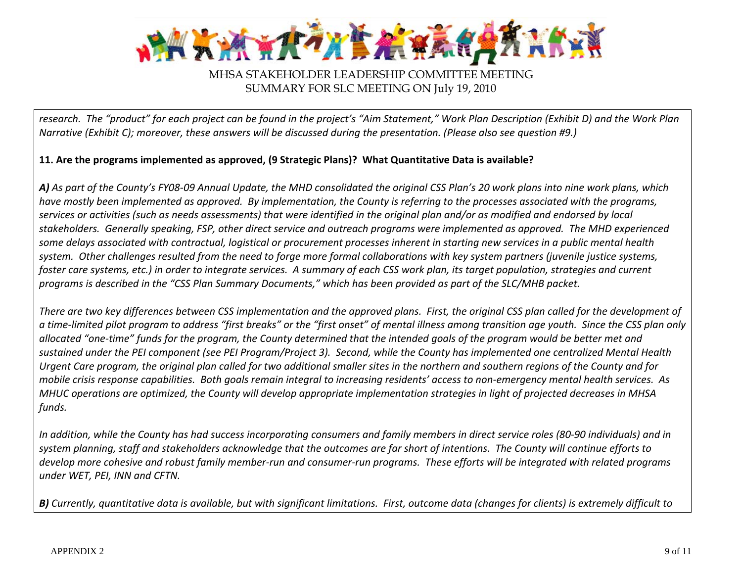

research. The "product" for each project can be found in the project's "Aim Statement," Work Plan Description (Exhibit D) and the Work Plan Narrative (Exhibit C); moreover, these answers will be discussed during the presentation. (Please also see question #9.)

### **11. Are the programs implemented as approved, (9 Strategic Plans)? What Quantitative Data is available?**

A) As part of the County's FY08-09 Annual Update, the MHD consolidated the original CSS Plan's 20 work plans into nine work plans, which have mostly been implemented as approved. By implementation, the County is referring to the processes associated with the programs, services or activities (such as needs assessments) that were identified in the original plan and/or as modified and endorsed by local stakeholders. Generally speaking, FSP, other direct service and outreach programs were implemented as approved. The MHD experienced some delays associated with contractual, logistical or procurement processes inherent in starting new services in a public mental health system. Other challenges resulted from the need to forge more formal collaborations with key system partners (juvenile justice systems, foster care systems, etc.) in order to integrate services. A summary of each CSS work plan, its target population, strategies and current programs is described in the "CSS Plan Summary Documents," which has been provided as part of the SLC/MHB packet.

There are two key differences between CSS implementation and the approved plans. First, the original CSS plan called for the development of a time-limited pilot program to address "first breaks" or the "first onset" of mental illness among transition age youth. Since the CSS plan only allocated "one-time" funds for the program, the County determined that the intended goals of the program would be better met and sustained under the PEI component (see PEI Program/Project 3). Second, while the County has implemented one centralized Mental Health Urgent Care program, the original plan called for two additional smaller sites in the northern and southern regions of the County and for mobile crisis response capabilities. Both goals remain integral to increasing residents' access to non-emergency mental health services. As MHUC operations are optimized, the County will develop appropriate implementation strategies in light of projected decreases in MHSA *funds.*

In addition, while the County has had success incorporating consumers and family members in direct service roles (80-90 individuals) and in system planning, staff and stakeholders acknowledge that the outcomes are far short of intentions. The County will continue efforts to develop more cohesive and robust family member-run and consumer-run programs. These efforts will be integrated with related programs *under WET, PEI, INN and CFTN.*

B) Currently, quantitative data is available, but with significant limitations. First, outcome data (changes for clients) is extremely difficult to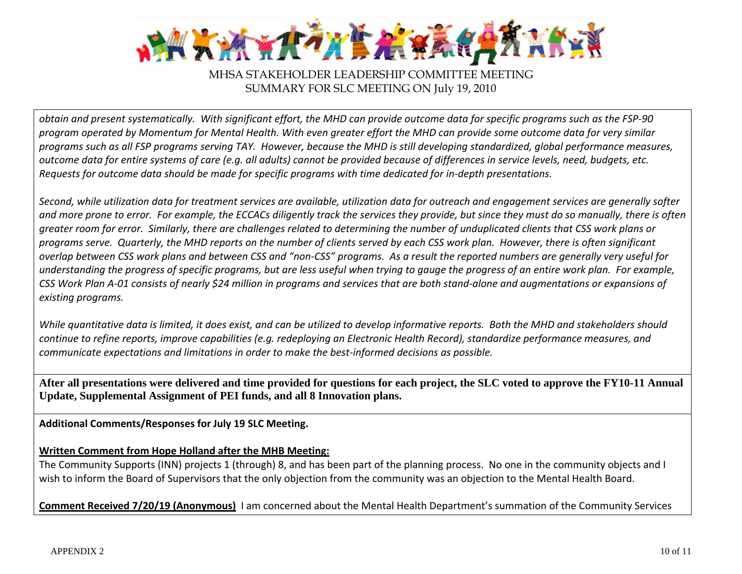

obtain and present systematically. With significant effort, the MHD can provide outcome data for specific programs such as the FSP-90 program operated by Momentum for Mental Health. With even greater effort the MHD can provide some outcome data for very similar programs such as all FSP programs serving TAY. However, because the MHD is still developing standardized, global performance measures, outcome data for entire systems of care (e.g. all adults) cannot be provided because of differences in service levels, need, budgets, etc. Requests for outcome data should be made for specific programs with time dedicated for in-depth presentations.

Second, while utilization data for treatment services are available, utilization data for outreach and engagement services are generally softer and more prone to error. For example, the ECCACs diligently track the services they provide, but since they must do so manually, there is often greater room for error. Similarly, there are challenges related to determining the number of unduplicated clients that CSS work plans or programs serve. Quarterly, the MHD reports on the number of clients served by each CSS work plan. However, there is often significant overlap between CSS work plans and between CSS and "non-CSS" programs. As a result the reported numbers are generally very useful for understanding the progress of specific programs, but are less useful when trying to gauge the progress of an entire work plan. For example, CSS Work Plan A-01 consists of nearly \$24 million in programs and services that are both stand-alone and augmentations or expansions of *existing programs.*

While quantitative data is limited, it does exist, and can be utilized to develop informative reports. Both the MHD and stakeholders should continue to refine reports, improve capabilities (e.g. redeploying an Electronic Health Record), standardize performance measures, and *communicate expectations and limitations in order to make the best‐informed decisions as possible.*

**After all presentations were delivered and time provided for questions for each project, the SLC voted to approve the FY10-11 Annual Update, Supplemental Assignment of PEI funds, and all 8 Innovation plans.**

**Additional Comments/Responses for July 19 SLC Meeting.**

### **Written Comment from Hope Holland after the MHB Meeting:**

The Community Supports (INN) projects 1 (through) 8, and has been part of the planning process. No one in the community objects and I wish to inform the Board of Supervisors that the only objection from the community was an objection to the Mental Health Board.

**Comment Received 7/20/19 (Anonymous)** I am concerned about the Mental Health Department's summation of the Community Services